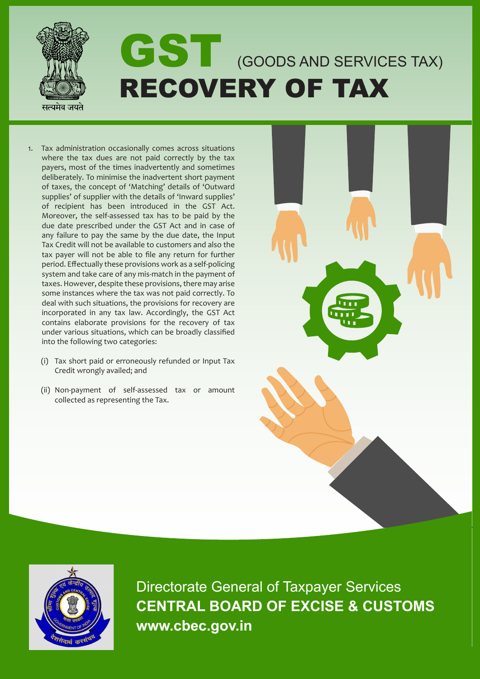

- 1. Tax administration occasionally comes across situations where the tax dues are not paid correctly by the tax payers, most of the times inadvertently and sometimes deliberately. To minimise the inadvertent short payment of taxes, the concept of 'Matching' details of 'Outward supplies' of supplier with the details of 'Inward supplies' of recipient has been introduced in the GST Act. Moreover, the self-assessed tax has to be paid by the due date prescribed under the GST Act and in case of any failure to pay the same by the due date, the Input Tax Credit will not be available to customers and also the tax payer will not be able to file any return for further period. Effectually these provisions work as a self-policing system and take care of any mis-match in the payment of taxes. However, despite these provisions, there may arise some instances where the tax was not paid correctly. To deal with such situations, the provisions for recovery are incorporated in any tax law. Accordingly, the GST Act contains elaborate provisions for the recovery of tax under various situations, which can be broadly classified into the following two categories:
	- (i) Tax short paid or erroneously refunded or Input Tax Credit wrongly availed; and
	- (ii) Non-payment of self-assessed tax or amount collected as representing the Tax.





Directorate General of Taxpayer Services **CENTRAL BOARD OF EXCISE & CUSTOMS www.cbec.gov.in**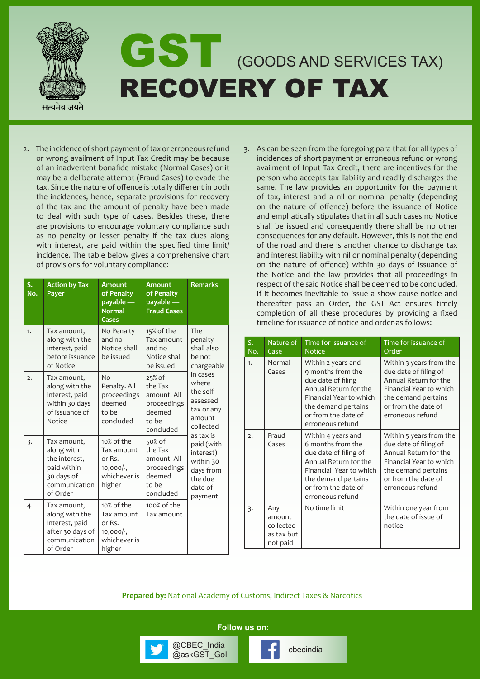

2. The incidence of short payment of tax or erroneous refund or wrong availment of Input Tax Credit may be because of an inadvertent bonafide mistake (Normal Cases) or it may be a deliberate attempt (Fraud Cases) to evade the tax. Since the nature of offence is totally different in both the incidences, hence, separate provisions for recovery of the tax and the amount of penalty have been made to deal with such type of cases. Besides these, there are provisions to encourage voluntary compliance such as no penalty or lesser penalty if the tax dues along with interest, are paid within the specified time limit/ incidence. The table below gives a comprehensive chart of provisions for voluntary compliance:

| S.<br>No.      | <b>Action by Tax</b><br>Payer                                                                        | <b>Amount</b><br>of Penalty<br>payable —<br><b>Normal</b><br>Cases           | <b>Amount</b><br>of Penalty<br>$payable$ —<br><b>Fraud Cases</b>                | <b>Remarks</b>                                                                                                                                                                                                                            |
|----------------|------------------------------------------------------------------------------------------------------|------------------------------------------------------------------------------|---------------------------------------------------------------------------------|-------------------------------------------------------------------------------------------------------------------------------------------------------------------------------------------------------------------------------------------|
| 1.             | Tax amount,<br>along with the<br>interest, paid<br>before issuance<br>of Notice                      | No Penalty<br>and no<br>Notice shall<br>be issued                            | 15% of the<br>Tax amount<br>and no<br>Notice shall<br>be issued                 | The<br>penalty<br>shall also<br>be not<br>chargeable<br>in cases<br>where<br>the self<br>assessed<br>tax or any<br>amount<br>collected<br>as tax is<br>paid (with<br>interest)<br>within 30<br>days from<br>the due<br>date of<br>payment |
| $\overline{2}$ | Tax amount,<br>along with the<br>interest, paid<br>within 30 days<br>of issuance of<br>Notice        | No<br>Penalty. All<br>proceedings<br>deemed<br>to be<br>concluded            | 25% of<br>the Tax<br>amount. All<br>proceedings<br>deemed<br>to be<br>concluded |                                                                                                                                                                                                                                           |
| $\overline{3}$ | Tax amount,<br>along with<br>the interest,<br>paid within<br>30 days of<br>communication<br>of Order | 10% of the<br>Tax amount<br>or Rs.<br>$10,000/$ -,<br>whichever is<br>higher | 50% of<br>the Tax<br>amount. All<br>proceedings<br>deemed<br>to be<br>concluded |                                                                                                                                                                                                                                           |
| 4.             | Tax amount,<br>along with the<br>interest, paid<br>after 30 days of<br>communication<br>of Order     | 10% of the<br>Tax amount<br>or Rs.<br>$10,000/$ -,<br>whichever is<br>higher | 100% of the<br>Tax amount                                                       |                                                                                                                                                                                                                                           |

3. As can be seen from the foregoing para that for all types of incidences of short payment or erroneous refund or wrong availment of Input Tax Credit, there are incentives for the person who accepts tax liability and readily discharges the same. The law provides an opportunity for the payment of tax, interest and a nil or nominal penalty (depending on the nature of offence) before the issuance of Notice and emphatically stipulates that in all such cases no Notice shall be issued and consequently there shall be no other consequences for any default. However, this is not the end of the road and there is another chance to discharge tax and interest liability with nil or nominal penalty (depending on the nature of offence) within 30 days of issuance of the Notice and the law provides that all proceedings in respect of the said Notice shall be deemed to be concluded. If it becomes inevitable to issue a show cause notice and thereafter pass an Order, the GST Act ensures timely completion of all these procedures by providing a fixed timeline for issuance of notice and order-as follows:

| S.<br>No.        | Nature of<br>Case                                    | Time for issuance of<br><b>Notice</b>                                                                                                                                                  | Time for issuance of<br>Order                                                                                                                                          |
|------------------|------------------------------------------------------|----------------------------------------------------------------------------------------------------------------------------------------------------------------------------------------|------------------------------------------------------------------------------------------------------------------------------------------------------------------------|
| 1.               | Normal<br>Cases                                      | Within 2 years and<br>9 months from the<br>due date of filing<br>Annual Return for the<br>Financial Year to which<br>the demand pertains<br>or from the date of<br>erroneous refund    | Within 3 years from the<br>due date of filing of<br>Annual Return for the<br>Financial Year to which<br>the demand pertains<br>or from the date of<br>erroneous refund |
| $\overline{2}$ . | Fraud<br>Cases                                       | Within 4 years and<br>6 months from the<br>due date of filing of<br>Annual Return for the<br>Financial Year to which<br>the demand pertains<br>or from the date of<br>erroneous refund | Within 5 years from the<br>due date of filing of<br>Annual Return for the<br>Financial Year to which<br>the demand pertains<br>or from the date of<br>erroneous refund |
| 3.               | Any<br>amount<br>collected<br>as tax but<br>not paid | No time limit                                                                                                                                                                          | Within one year from<br>the date of issue of<br>notice                                                                                                                 |

**Prepared by:** National Academy of Customs, Indirect Taxes & Narcotics

**Follow us on:**